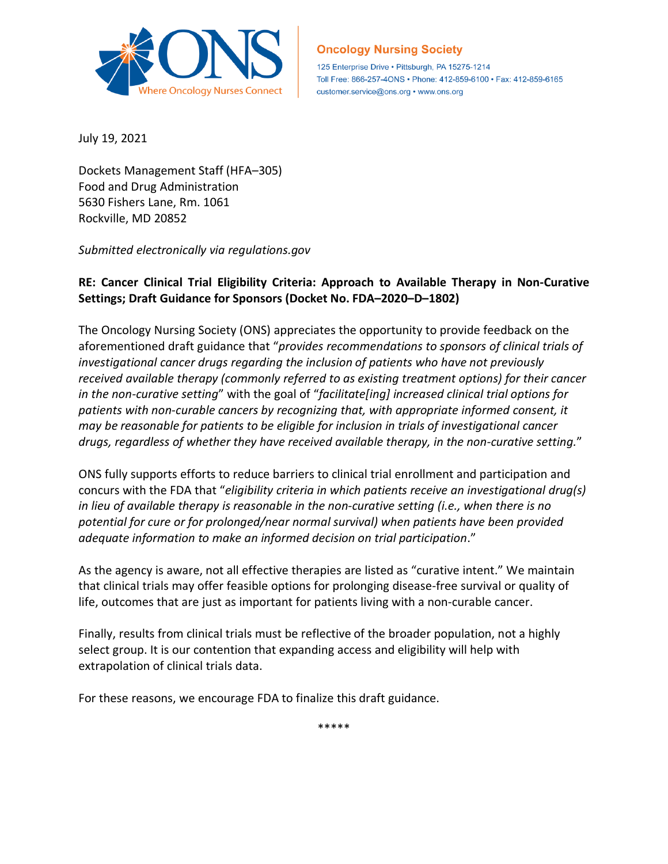

## **Oncology Nursing Society**

125 Enterprise Drive · Pittsburgh, PA 15275-1214 Toll Free: 866-257-4ONS · Phone: 412-859-6100 · Fax: 412-859-6165 customer.service@ons.org • www.ons.org

July 19, 2021

Dockets Management Staff (HFA–305) Food and Drug Administration 5630 Fishers Lane, Rm. 1061 Rockville, MD 20852

*Submitted electronically via regulations.gov* 

## **RE: Cancer Clinical Trial Eligibility Criteria: Approach to Available Therapy in Non-Curative Settings; Draft Guidance for Sponsors (Docket No. FDA–2020–D–1802)**

The Oncology Nursing Society (ONS) appreciates the opportunity to provide feedback on the aforementioned draft guidance that "*provides recommendations to sponsors of clinical trials of investigational cancer drugs regarding the inclusion of patients who have not previously received available therapy (commonly referred to as existing treatment options) for their cancer in the non-curative setting*" with the goal of "*facilitate[ing] increased clinical trial options for patients with non-curable cancers by recognizing that, with appropriate informed consent, it may be reasonable for patients to be eligible for inclusion in trials of investigational cancer drugs, regardless of whether they have received available therapy, in the non-curative setting.*"

ONS fully supports efforts to reduce barriers to clinical trial enrollment and participation and concurs with the FDA that "*eligibility criteria in which patients receive an investigational drug(s) in lieu of available therapy is reasonable in the non-curative setting (i.e., when there is no potential for cure or for prolonged/near normal survival) when patients have been provided adequate information to make an informed decision on trial participation*."

As the agency is aware, not all effective therapies are listed as "curative intent." We maintain that clinical trials may offer feasible options for prolonging disease-free survival or quality of life, outcomes that are just as important for patients living with a non-curable cancer.

Finally, results from clinical trials must be reflective of the broader population, not a highly select group. It is our contention that expanding access and eligibility will help with extrapolation of clinical trials data.

For these reasons, we encourage FDA to finalize this draft guidance.

\*\*\*\*\*